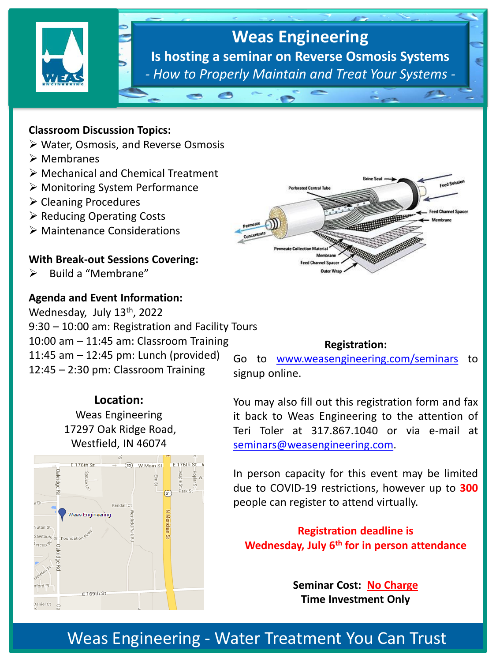

#### **Classroom Discussion Topics:**

- ➢ Water, Osmosis, and Reverse Osmosis
- ➢ Membranes
- ➢ Mechanical and Chemical Treatment
- ➢ Monitoring System Performance
- ➢ Cleaning Procedures
- ➢ Reducing Operating Costs
- ➢ Maintenance Considerations

### **With Break-out Sessions Covering:**

➢ Build a "Membrane"

## **Agenda and Event Information:**

Wednesday, July 13<sup>th</sup>, 2022 9:30 – 10:00 am: Registration and Facility Tours 10:00 am – 11:45 am: Classroom Training 11:45 am – 12:45 pm: Lunch (provided) 12:45 – 2:30 pm: Classroom Training

> **Location:** Weas Engineering 17297 Oak Ridge Road, Westfield, IN 46074





#### **Registration:**

Go to [www.weasengineering.com/seminars](http://www.weasengineering.com/seminars) to signup online.

You may also fill out this registration form and fax it back to Weas Engineering to the attention of Teri Toler at 317.867.1040 or via e-mail at [seminars@weasengineering.com](mailto:seminars@weasengineering.com).

In person capacity for this event may be limited due to COVID-19 restrictions, however up to **300** people can register to attend virtually.

**Registration deadline is Wednesday, July 6th for in person attendance**

> **Seminar Cost: No Charge Time Investment Only**

# Weas Engineering - Water Treatment You Can Trust